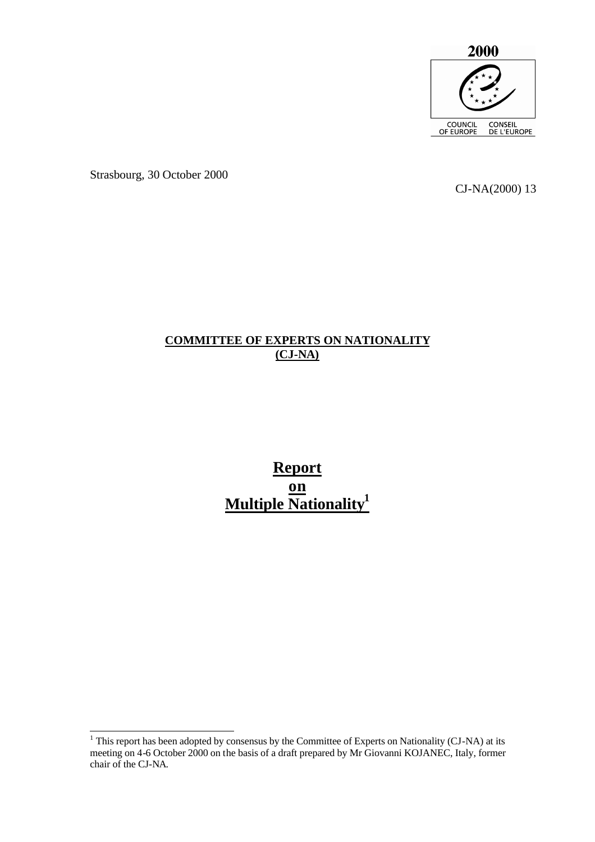

Strasbourg, 30 October 2000

CJ-NA(2000) 13

# **COMMITTEE OF EXPERTS ON NATIONALITY (CJ-NA)**

**Report on Multiple Nationality<sup>1</sup>**

<sup>&</sup>lt;sup>1</sup> This report has been adopted by consensus by the Committee of Experts on Nationality (CJ-NA) at its meeting on 4-6 October 2000 on the basis of a draft prepared by Mr Giovanni KOJANEC, Italy, former chair of the CJ-NA.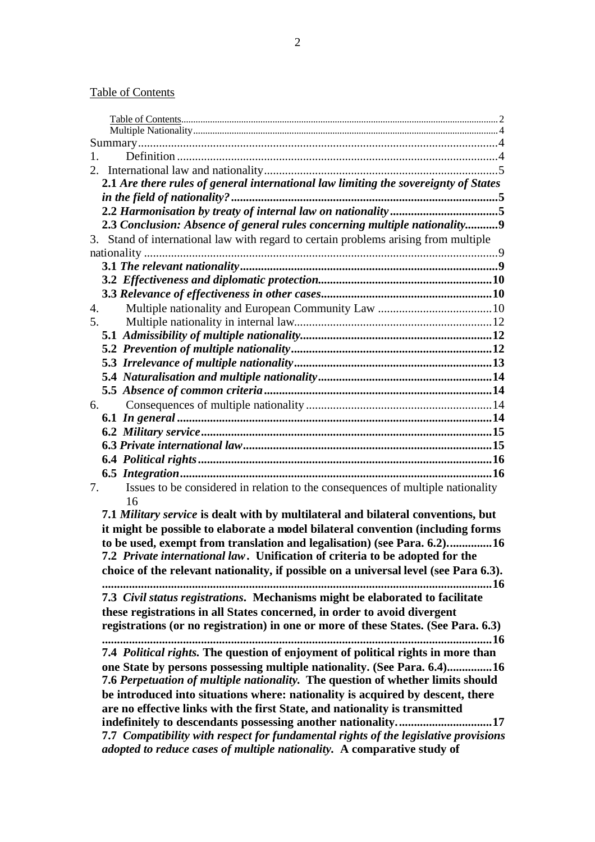# Table of Contents

| 1.                                                                      |                                                                                      |  |  |
|-------------------------------------------------------------------------|--------------------------------------------------------------------------------------|--|--|
|                                                                         |                                                                                      |  |  |
|                                                                         | 2.1 Are there rules of general international law limiting the sovereignty of States  |  |  |
|                                                                         |                                                                                      |  |  |
|                                                                         |                                                                                      |  |  |
|                                                                         | 2.3 Conclusion: Absence of general rules concerning multiple nationality9            |  |  |
|                                                                         | 3. Stand of international law with regard to certain problems arising from multiple  |  |  |
|                                                                         |                                                                                      |  |  |
|                                                                         |                                                                                      |  |  |
|                                                                         |                                                                                      |  |  |
|                                                                         |                                                                                      |  |  |
|                                                                         | 4.                                                                                   |  |  |
|                                                                         | 5.                                                                                   |  |  |
|                                                                         |                                                                                      |  |  |
|                                                                         |                                                                                      |  |  |
|                                                                         |                                                                                      |  |  |
|                                                                         |                                                                                      |  |  |
|                                                                         |                                                                                      |  |  |
|                                                                         | 6.                                                                                   |  |  |
|                                                                         |                                                                                      |  |  |
|                                                                         |                                                                                      |  |  |
|                                                                         |                                                                                      |  |  |
|                                                                         |                                                                                      |  |  |
|                                                                         |                                                                                      |  |  |
| 7.                                                                      | Issues to be considered in relation to the consequences of multiple nationality      |  |  |
|                                                                         | 16                                                                                   |  |  |
|                                                                         | 7.1 Military service is dealt with by multilateral and bilateral conventions, but    |  |  |
|                                                                         | it might be possible to elaborate a model bilateral convention (including forms      |  |  |
| to be used, exempt from translation and legalisation) (see Para. 6.2)16 |                                                                                      |  |  |
|                                                                         | 7.2 Private international law. Unification of criteria to be adopted for the         |  |  |
|                                                                         | choice of the relevant nationality, if possible on a universal level (see Para 6.3). |  |  |
|                                                                         | 16                                                                                   |  |  |
|                                                                         | 7.3 Civil status registrations. Mechanisms might be elaborated to facilitate         |  |  |
|                                                                         | these registrations in all States concerned, in order to avoid divergent             |  |  |
|                                                                         | registrations (or no registration) in one or more of these States. (See Para. 6.3)   |  |  |
|                                                                         |                                                                                      |  |  |
|                                                                         | 7.4 Political rights. The question of enjoyment of political rights in more than     |  |  |
|                                                                         | one State by persons possessing multiple nationality. (See Para. 6.4)16              |  |  |
|                                                                         | 7.6 Perpetuation of multiple nationality. The question of whether limits should      |  |  |
|                                                                         | be introduced into situations where: nationality is acquired by descent, there       |  |  |
|                                                                         | are no effective links with the first State, and nationality is transmitted          |  |  |
|                                                                         | indefinitely to descendants possessing another nationality17                         |  |  |
|                                                                         | 7.7 Compatibility with respect for fundamental rights of the legislative provisions  |  |  |
|                                                                         | adopted to reduce cases of multiple nationality. A comparative study of              |  |  |
|                                                                         |                                                                                      |  |  |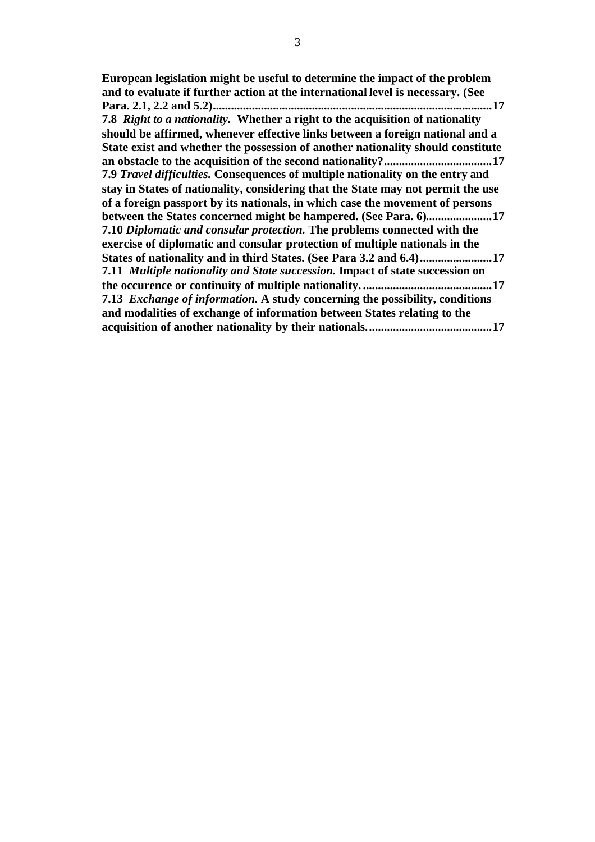**European legislation might be useful to determine the impact of the problem and to evaluate if further action at the international level is necessary. (See Para. 2.1, 2.2 and 5.2).............................................................................................17 7.8** *Right to a nationality.* **Whether a right to the acquisition of nationality should be affirmed, whenever effective links between a foreign national and a State exist and whether the possession of another nationality should constitute an obstacle to the acquisition of the second nationality?....................................17 7.9** *Travel difficulties.* **Consequences of multiple nationality on the entry and stay in States of nationality, considering that the State may not permit the use of a foreign passport by its nationals, in which case the movement of persons between the States concerned might be hampered. (See Para. 6)......................17 7.10** *Diplomatic and consular protection.* **The problems connected with the exercise of diplomatic and consular protection of multiple nationals in the States of nationality and in third States. (See Para 3.2 and 6.4)........................17 7.11** *Multiple nationality and State succession.* **Impact of state succession on the occurence or continuity of multiple nationality. ...........................................17 7.13** *Exchange of information.* **A study concerning the possibility, conditions and modalities of exchange of information between States relating to the acquisition of another nationality by their nationals..........................................17**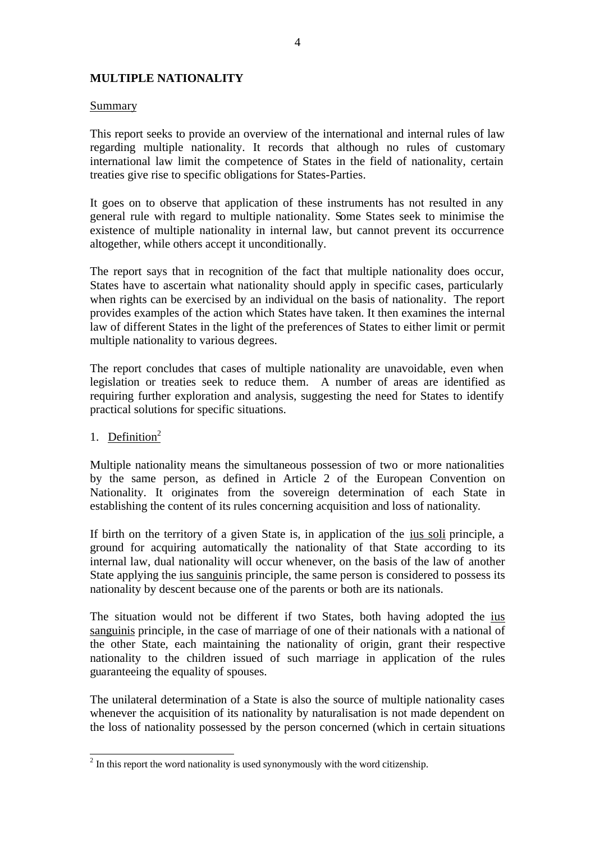# **MULTIPLE NATIONALITY**

#### Summary

This report seeks to provide an overview of the international and internal rules of law regarding multiple nationality. It records that although no rules of customary international law limit the competence of States in the field of nationality, certain treaties give rise to specific obligations for States-Parties.

It goes on to observe that application of these instruments has not resulted in any general rule with regard to multiple nationality. Some States seek to minimise the existence of multiple nationality in internal law, but cannot prevent its occurrence altogether, while others accept it unconditionally.

The report says that in recognition of the fact that multiple nationality does occur, States have to ascertain what nationality should apply in specific cases, particularly when rights can be exercised by an individual on the basis of nationality. The report provides examples of the action which States have taken. It then examines the internal law of different States in the light of the preferences of States to either limit or permit multiple nationality to various degrees.

The report concludes that cases of multiple nationality are unavoidable, even when legislation or treaties seek to reduce them. A number of areas are identified as requiring further exploration and analysis, suggesting the need for States to identify practical solutions for specific situations.

# 1. Definition $2$

Multiple nationality means the simultaneous possession of two or more nationalities by the same person, as defined in Article 2 of the European Convention on Nationality. It originates from the sovereign determination of each State in establishing the content of its rules concerning acquisition and loss of nationality.

If birth on the territory of a given State is, in application of the ius soli principle, a ground for acquiring automatically the nationality of that State according to its internal law, dual nationality will occur whenever, on the basis of the law of another State applying the ius sanguinis principle, the same person is considered to possess its nationality by descent because one of the parents or both are its nationals.

The situation would not be different if two States, both having adopted the ius sanguinis principle, in the case of marriage of one of their nationals with a national of the other State, each maintaining the nationality of origin, grant their respective nationality to the children issued of such marriage in application of the rules guaranteeing the equality of spouses.

The unilateral determination of a State is also the source of multiple nationality cases whenever the acquisition of its nationality by naturalisation is not made dependent on the loss of nationality possessed by the person concerned (which in certain situations

<sup>&</sup>lt;sup>2</sup> In this report the word nationality is used synonymously with the word citizenship.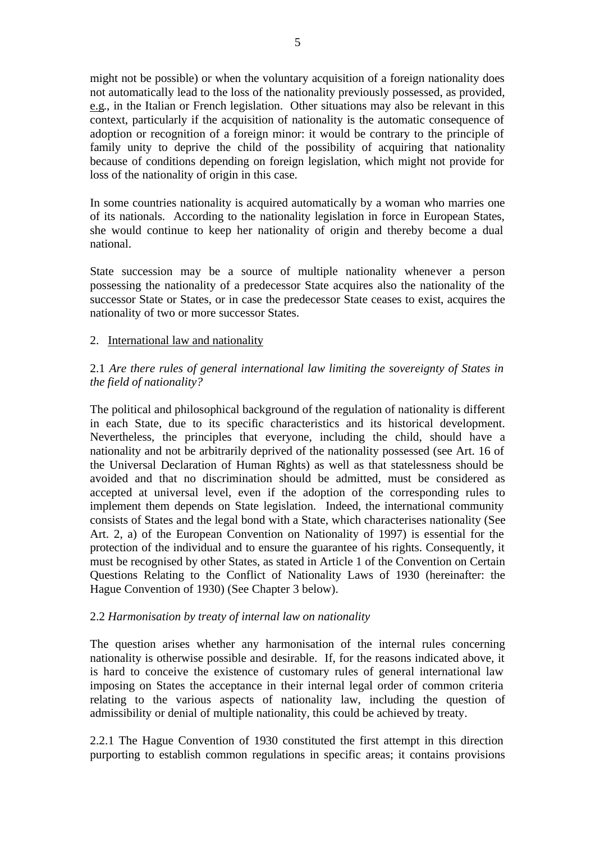might not be possible) or when the voluntary acquisition of a foreign nationality does not automatically lead to the loss of the nationality previously possessed, as provided, e.g., in the Italian or French legislation. Other situations may also be relevant in this context, particularly if the acquisition of nationality is the automatic consequence of adoption or recognition of a foreign minor: it would be contrary to the principle of family unity to deprive the child of the possibility of acquiring that nationality because of conditions depending on foreign legislation, which might not provide for loss of the nationality of origin in this case.

In some countries nationality is acquired automatically by a woman who marries one of its nationals. According to the nationality legislation in force in European States, she would continue to keep her nationality of origin and thereby become a dual national.

State succession may be a source of multiple nationality whenever a person possessing the nationality of a predecessor State acquires also the nationality of the successor State or States, or in case the predecessor State ceases to exist, acquires the nationality of two or more successor States.

# 2. International law and nationality

2.1 *Are there rules of general international law limiting the sovereignty of States in the field of nationality?*

The political and philosophical background of the regulation of nationality is different in each State, due to its specific characteristics and its historical development. Nevertheless, the principles that everyone, including the child, should have a nationality and not be arbitrarily deprived of the nationality possessed (see Art. 16 of the Universal Declaration of Human Rights) as well as that statelessness should be avoided and that no discrimination should be admitted, must be considered as accepted at universal level, even if the adoption of the corresponding rules to implement them depends on State legislation. Indeed, the international community consists of States and the legal bond with a State, which characterises nationality (See Art. 2, a) of the European Convention on Nationality of 1997) is essential for the protection of the individual and to ensure the guarantee of his rights. Consequently, it must be recognised by other States, as stated in Article 1 of the Convention on Certain Questions Relating to the Conflict of Nationality Laws of 1930 (hereinafter: the Hague Convention of 1930) (See Chapter 3 below).

#### 2.2 *Harmonisation by treaty of internal law on nationality*

The question arises whether any harmonisation of the internal rules concerning nationality is otherwise possible and desirable. If, for the reasons indicated above, it is hard to conceive the existence of customary rules of general international law imposing on States the acceptance in their internal legal order of common criteria relating to the various aspects of nationality law, including the question of admissibility or denial of multiple nationality, this could be achieved by treaty.

2.2.1 The Hague Convention of 1930 constituted the first attempt in this direction purporting to establish common regulations in specific areas; it contains provisions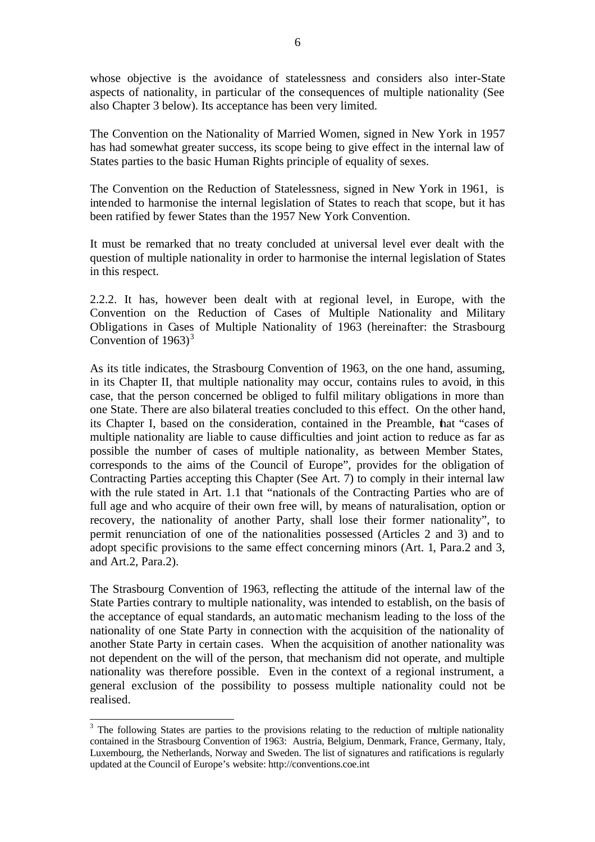whose objective is the avoidance of statelessness and considers also inter-State aspects of nationality, in particular of the consequences of multiple nationality (See also Chapter 3 below). Its acceptance has been very limited.

The Convention on the Nationality of Married Women, signed in New York in 1957 has had somewhat greater success, its scope being to give effect in the internal law of States parties to the basic Human Rights principle of equality of sexes.

The Convention on the Reduction of Statelessness, signed in New York in 1961, is intended to harmonise the internal legislation of States to reach that scope, but it has been ratified by fewer States than the 1957 New York Convention.

It must be remarked that no treaty concluded at universal level ever dealt with the question of multiple nationality in order to harmonise the internal legislation of States in this respect.

2.2.2. It has, however been dealt with at regional level, in Europe, with the Convention on the Reduction of Cases of Multiple Nationality and Military Obligations in Cases of Multiple Nationality of 1963 (hereinafter: the Strasbourg Convention of  $1963$ <sup>3</sup>

As its title indicates, the Strasbourg Convention of 1963, on the one hand, assuming, in its Chapter II, that multiple nationality may occur, contains rules to avoid, in this case, that the person concerned be obliged to fulfil military obligations in more than one State. There are also bilateral treaties concluded to this effect. On the other hand, its Chapter I, based on the consideration, contained in the Preamble, that "cases of multiple nationality are liable to cause difficulties and joint action to reduce as far as possible the number of cases of multiple nationality, as between Member States, corresponds to the aims of the Council of Europe", provides for the obligation of Contracting Parties accepting this Chapter (See Art. 7) to comply in their internal law with the rule stated in Art. 1.1 that "nationals of the Contracting Parties who are of full age and who acquire of their own free will, by means of naturalisation, option or recovery, the nationality of another Party, shall lose their former nationality", to permit renunciation of one of the nationalities possessed (Articles 2 and 3) and to adopt specific provisions to the same effect concerning minors (Art. 1, Para.2 and 3, and Art.2, Para.2).

The Strasbourg Convention of 1963, reflecting the attitude of the internal law of the State Parties contrary to multiple nationality, was intended to establish, on the basis of the acceptance of equal standards, an automatic mechanism leading to the loss of the nationality of one State Party in connection with the acquisition of the nationality of another State Party in certain cases. When the acquisition of another nationality was not dependent on the will of the person, that mechanism did not operate, and multiple nationality was therefore possible. Even in the context of a regional instrument, a general exclusion of the possibility to possess multiple nationality could not be realised.

 $\overline{a}$ 

<sup>&</sup>lt;sup>3</sup> The following States are parties to the provisions relating to the reduction of multiple nationality contained in the Strasbourg Convention of 1963: Austria, Belgium, Denmark, France, Germany, Italy, Luxembourg, the Netherlands, Norway and Sweden. The list of signatures and ratifications is regularly updated at the Council of Europe's website: http://conventions.coe.int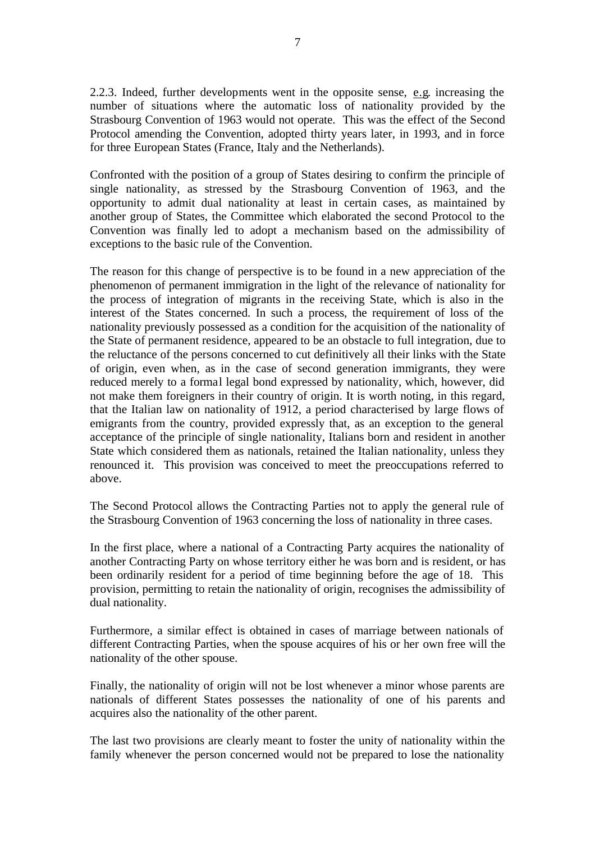2.2.3. Indeed, further developments went in the opposite sense, e.g. increasing the number of situations where the automatic loss of nationality provided by the Strasbourg Convention of 1963 would not operate. This was the effect of the Second Protocol amending the Convention, adopted thirty years later, in 1993, and in force for three European States (France, Italy and the Netherlands).

Confronted with the position of a group of States desiring to confirm the principle of single nationality, as stressed by the Strasbourg Convention of 1963, and the opportunity to admit dual nationality at least in certain cases, as maintained by another group of States, the Committee which elaborated the second Protocol to the Convention was finally led to adopt a mechanism based on the admissibility of exceptions to the basic rule of the Convention.

The reason for this change of perspective is to be found in a new appreciation of the phenomenon of permanent immigration in the light of the relevance of nationality for the process of integration of migrants in the receiving State, which is also in the interest of the States concerned. In such a process, the requirement of loss of the nationality previously possessed as a condition for the acquisition of the nationality of the State of permanent residence, appeared to be an obstacle to full integration, due to the reluctance of the persons concerned to cut definitively all their links with the State of origin, even when, as in the case of second generation immigrants, they were reduced merely to a formal legal bond expressed by nationality, which, however, did not make them foreigners in their country of origin. It is worth noting, in this regard, that the Italian law on nationality of 1912, a period characterised by large flows of emigrants from the country, provided expressly that, as an exception to the general acceptance of the principle of single nationality, Italians born and resident in another State which considered them as nationals, retained the Italian nationality, unless they renounced it. This provision was conceived to meet the preoccupations referred to above.

The Second Protocol allows the Contracting Parties not to apply the general rule of the Strasbourg Convention of 1963 concerning the loss of nationality in three cases.

In the first place, where a national of a Contracting Party acquires the nationality of another Contracting Party on whose territory either he was born and is resident, or has been ordinarily resident for a period of time beginning before the age of 18. This provision, permitting to retain the nationality of origin, recognises the admissibility of dual nationality.

Furthermore, a similar effect is obtained in cases of marriage between nationals of different Contracting Parties, when the spouse acquires of his or her own free will the nationality of the other spouse.

Finally, the nationality of origin will not be lost whenever a minor whose parents are nationals of different States possesses the nationality of one of his parents and acquires also the nationality of the other parent.

The last two provisions are clearly meant to foster the unity of nationality within the family whenever the person concerned would not be prepared to lose the nationality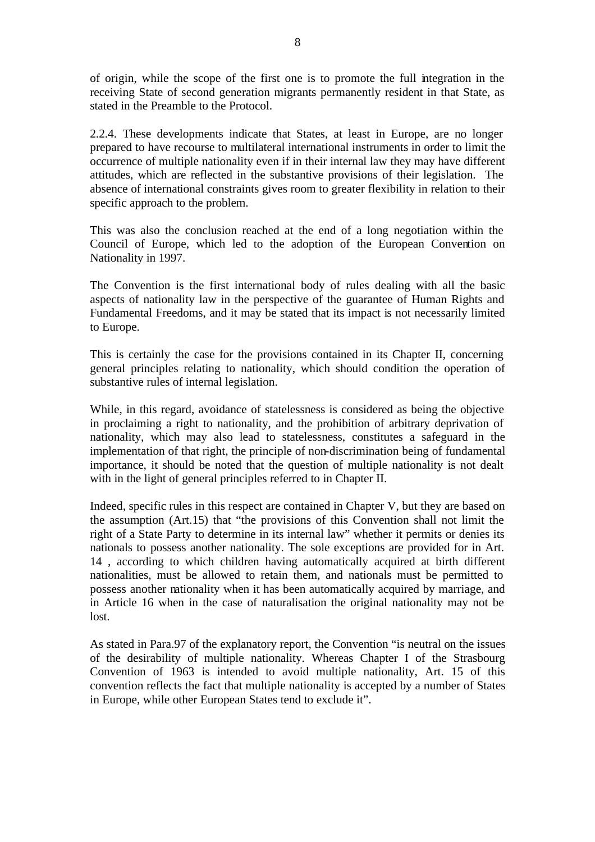of origin, while the scope of the first one is to promote the full integration in the receiving State of second generation migrants permanently resident in that State, as stated in the Preamble to the Protocol.

2.2.4. These developments indicate that States, at least in Europe, are no longer prepared to have recourse to multilateral international instruments in order to limit the occurrence of multiple nationality even if in their internal law they may have different attitudes, which are reflected in the substantive provisions of their legislation. The absence of international constraints gives room to greater flexibility in relation to their specific approach to the problem.

This was also the conclusion reached at the end of a long negotiation within the Council of Europe, which led to the adoption of the European Convention on Nationality in 1997.

The Convention is the first international body of rules dealing with all the basic aspects of nationality law in the perspective of the guarantee of Human Rights and Fundamental Freedoms, and it may be stated that its impact is not necessarily limited to Europe.

This is certainly the case for the provisions contained in its Chapter II, concerning general principles relating to nationality, which should condition the operation of substantive rules of internal legislation.

While, in this regard, avoidance of statelessness is considered as being the objective in proclaiming a right to nationality, and the prohibition of arbitrary deprivation of nationality, which may also lead to statelessness, constitutes a safeguard in the implementation of that right, the principle of non-discrimination being of fundamental importance, it should be noted that the question of multiple nationality is not dealt with in the light of general principles referred to in Chapter II.

Indeed, specific rules in this respect are contained in Chapter V, but they are based on the assumption (Art.15) that "the provisions of this Convention shall not limit the right of a State Party to determine in its internal law" whether it permits or denies its nationals to possess another nationality. The sole exceptions are provided for in Art. 14 , according to which children having automatically acquired at birth different nationalities, must be allowed to retain them, and nationals must be permitted to possess another nationality when it has been automatically acquired by marriage, and in Article 16 when in the case of naturalisation the original nationality may not be lost.

As stated in Para.97 of the explanatory report, the Convention "is neutral on the issues of the desirability of multiple nationality. Whereas Chapter I of the Strasbourg Convention of 1963 is intended to avoid multiple nationality, Art. 15 of this convention reflects the fact that multiple nationality is accepted by a number of States in Europe, while other European States tend to exclude it".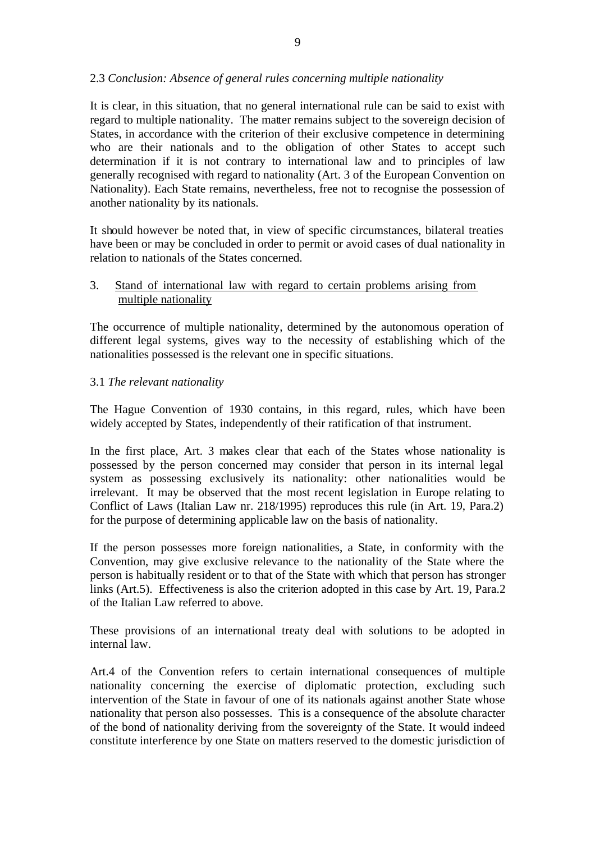# 2.3 *Conclusion: Absence of general rules concerning multiple nationality*

It is clear, in this situation, that no general international rule can be said to exist with regard to multiple nationality. The matter remains subject to the sovereign decision of States, in accordance with the criterion of their exclusive competence in determining who are their nationals and to the obligation of other States to accept such determination if it is not contrary to international law and to principles of law generally recognised with regard to nationality (Art. 3 of the European Convention on Nationality). Each State remains, nevertheless, free not to recognise the possession of another nationality by its nationals.

It should however be noted that, in view of specific circumstances, bilateral treaties have been or may be concluded in order to permit or avoid cases of dual nationality in relation to nationals of the States concerned.

# 3. Stand of international law with regard to certain problems arising from multiple nationality

The occurrence of multiple nationality, determined by the autonomous operation of different legal systems, gives way to the necessity of establishing which of the nationalities possessed is the relevant one in specific situations.

# 3.1 *The relevant nationality*

The Hague Convention of 1930 contains, in this regard, rules, which have been widely accepted by States, independently of their ratification of that instrument.

In the first place, Art. 3 makes clear that each of the States whose nationality is possessed by the person concerned may consider that person in its internal legal system as possessing exclusively its nationality: other nationalities would be irrelevant. It may be observed that the most recent legislation in Europe relating to Conflict of Laws (Italian Law nr. 218/1995) reproduces this rule (in Art. 19, Para.2) for the purpose of determining applicable law on the basis of nationality.

If the person possesses more foreign nationalities, a State, in conformity with the Convention, may give exclusive relevance to the nationality of the State where the person is habitually resident or to that of the State with which that person has stronger links (Art.5). Effectiveness is also the criterion adopted in this case by Art. 19, Para.2 of the Italian Law referred to above.

These provisions of an international treaty deal with solutions to be adopted in internal law.

Art.4 of the Convention refers to certain international consequences of multiple nationality concerning the exercise of diplomatic protection, excluding such intervention of the State in favour of one of its nationals against another State whose nationality that person also possesses. This is a consequence of the absolute character of the bond of nationality deriving from the sovereignty of the State. It would indeed constitute interference by one State on matters reserved to the domestic jurisdiction of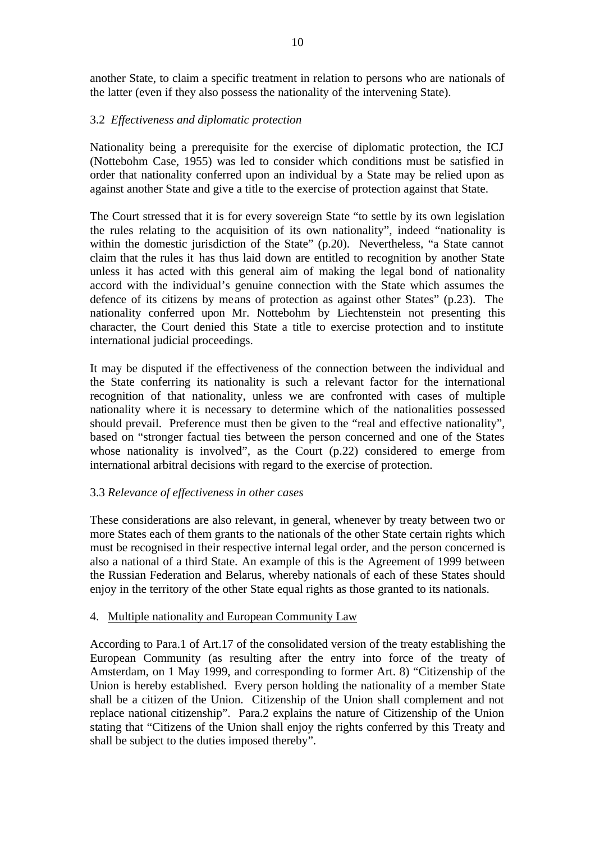another State, to claim a specific treatment in relation to persons who are nationals of the latter (even if they also possess the nationality of the intervening State).

# 3.2 *Effectiveness and diplomatic protection*

Nationality being a prerequisite for the exercise of diplomatic protection, the ICJ (Nottebohm Case, 1955) was led to consider which conditions must be satisfied in order that nationality conferred upon an individual by a State may be relied upon as against another State and give a title to the exercise of protection against that State.

The Court stressed that it is for every sovereign State "to settle by its own legislation the rules relating to the acquisition of its own nationality", indeed "nationality is within the domestic jurisdiction of the State" (p.20). Nevertheless, "a State cannot claim that the rules it has thus laid down are entitled to recognition by another State unless it has acted with this general aim of making the legal bond of nationality accord with the individual's genuine connection with the State which assumes the defence of its citizens by means of protection as against other States" (p.23). The nationality conferred upon Mr. Nottebohm by Liechtenstein not presenting this character, the Court denied this State a title to exercise protection and to institute international judicial proceedings.

It may be disputed if the effectiveness of the connection between the individual and the State conferring its nationality is such a relevant factor for the international recognition of that nationality, unless we are confronted with cases of multiple nationality where it is necessary to determine which of the nationalities possessed should prevail. Preference must then be given to the "real and effective nationality", based on "stronger factual ties between the person concerned and one of the States whose nationality is involved", as the Court (p.22) considered to emerge from international arbitral decisions with regard to the exercise of protection.

# 3.3 *Relevance of effectiveness in other cases*

These considerations are also relevant, in general, whenever by treaty between two or more States each of them grants to the nationals of the other State certain rights which must be recognised in their respective internal legal order, and the person concerned is also a national of a third State. An example of this is the Agreement of 1999 between the Russian Federation and Belarus, whereby nationals of each of these States should enjoy in the territory of the other State equal rights as those granted to its nationals.

# 4. Multiple nationality and European Community Law

According to Para.1 of Art.17 of the consolidated version of the treaty establishing the European Community (as resulting after the entry into force of the treaty of Amsterdam, on 1 May 1999, and corresponding to former Art. 8) "Citizenship of the Union is hereby established. Every person holding the nationality of a member State shall be a citizen of the Union. Citizenship of the Union shall complement and not replace national citizenship". Para.2 explains the nature of Citizenship of the Union stating that "Citizens of the Union shall enjoy the rights conferred by this Treaty and shall be subject to the duties imposed thereby".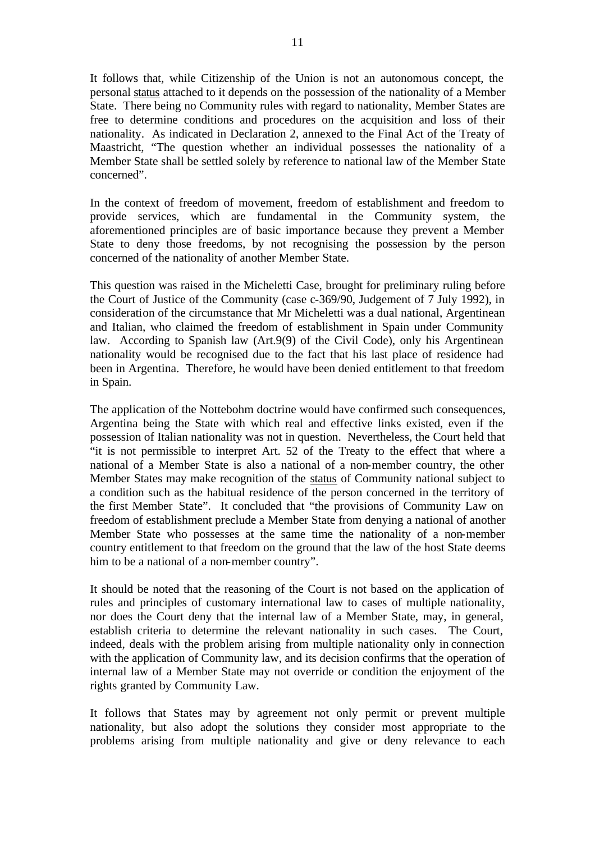It follows that, while Citizenship of the Union is not an autonomous concept, the personal status attached to it depends on the possession of the nationality of a Member State. There being no Community rules with regard to nationality, Member States are free to determine conditions and procedures on the acquisition and loss of their nationality. As indicated in Declaration 2, annexed to the Final Act of the Treaty of Maastricht, "The question whether an individual possesses the nationality of a Member State shall be settled solely by reference to national law of the Member State concerned".

In the context of freedom of movement, freedom of establishment and freedom to provide services, which are fundamental in the Community system, the aforementioned principles are of basic importance because they prevent a Member State to deny those freedoms, by not recognising the possession by the person concerned of the nationality of another Member State.

This question was raised in the Micheletti Case, brought for preliminary ruling before the Court of Justice of the Community (case c-369/90, Judgement of 7 July 1992), in consideration of the circumstance that Mr Micheletti was a dual national, Argentinean and Italian, who claimed the freedom of establishment in Spain under Community law. According to Spanish law (Art.9(9) of the Civil Code), only his Argentinean nationality would be recognised due to the fact that his last place of residence had been in Argentina. Therefore, he would have been denied entitlement to that freedom in Spain.

The application of the Nottebohm doctrine would have confirmed such consequences, Argentina being the State with which real and effective links existed, even if the possession of Italian nationality was not in question. Nevertheless, the Court held that "it is not permissible to interpret Art. 52 of the Treaty to the effect that where a national of a Member State is also a national of a non-member country, the other Member States may make recognition of the status of Community national subject to a condition such as the habitual residence of the person concerned in the territory of the first Member State". It concluded that "the provisions of Community Law on freedom of establishment preclude a Member State from denying a national of another Member State who possesses at the same time the nationality of a non-member country entitlement to that freedom on the ground that the law of the host State deems him to be a national of a non-member country".

It should be noted that the reasoning of the Court is not based on the application of rules and principles of customary international law to cases of multiple nationality, nor does the Court deny that the internal law of a Member State, may, in general, establish criteria to determine the relevant nationality in such cases. The Court, indeed, deals with the problem arising from multiple nationality only in connection with the application of Community law, and its decision confirms that the operation of internal law of a Member State may not override or condition the enjoyment of the rights granted by Community Law.

It follows that States may by agreement not only permit or prevent multiple nationality, but also adopt the solutions they consider most appropriate to the problems arising from multiple nationality and give or deny relevance to each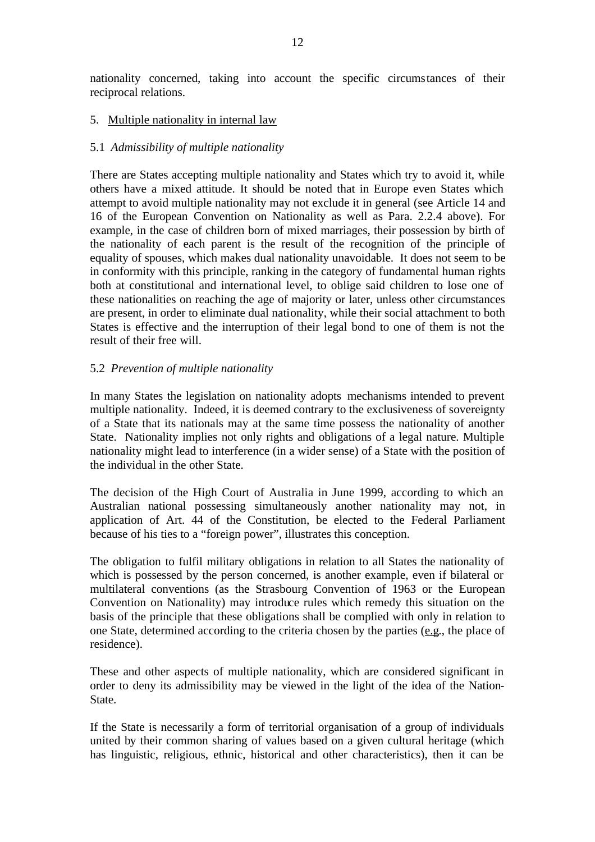nationality concerned, taking into account the specific circumstances of their reciprocal relations.

# 5. Multiple nationality in internal law

#### 5.1 *Admissibility of multiple nationality*

There are States accepting multiple nationality and States which try to avoid it, while others have a mixed attitude. It should be noted that in Europe even States which attempt to avoid multiple nationality may not exclude it in general (see Article 14 and 16 of the European Convention on Nationality as well as Para. 2.2.4 above). For example, in the case of children born of mixed marriages, their possession by birth of the nationality of each parent is the result of the recognition of the principle of equality of spouses, which makes dual nationality unavoidable. It does not seem to be in conformity with this principle, ranking in the category of fundamental human rights both at constitutional and international level, to oblige said children to lose one of these nationalities on reaching the age of majority or later, unless other circumstances are present, in order to eliminate dual nationality, while their social attachment to both States is effective and the interruption of their legal bond to one of them is not the result of their free will.

# 5.2 *Prevention of multiple nationality*

In many States the legislation on nationality adopts mechanisms intended to prevent multiple nationality. Indeed, it is deemed contrary to the exclusiveness of sovereignty of a State that its nationals may at the same time possess the nationality of another State. Nationality implies not only rights and obligations of a legal nature. Multiple nationality might lead to interference (in a wider sense) of a State with the position of the individual in the other State.

The decision of the High Court of Australia in June 1999, according to which an Australian national possessing simultaneously another nationality may not, in application of Art. 44 of the Constitution, be elected to the Federal Parliament because of his ties to a "foreign power", illustrates this conception.

The obligation to fulfil military obligations in relation to all States the nationality of which is possessed by the person concerned, is another example, even if bilateral or multilateral conventions (as the Strasbourg Convention of 1963 or the European Convention on Nationality) may introduce rules which remedy this situation on the basis of the principle that these obligations shall be complied with only in relation to one State, determined according to the criteria chosen by the parties (e.g., the place of residence).

These and other aspects of multiple nationality, which are considered significant in order to deny its admissibility may be viewed in the light of the idea of the Nation-State.

If the State is necessarily a form of territorial organisation of a group of individuals united by their common sharing of values based on a given cultural heritage (which has linguistic, religious, ethnic, historical and other characteristics), then it can be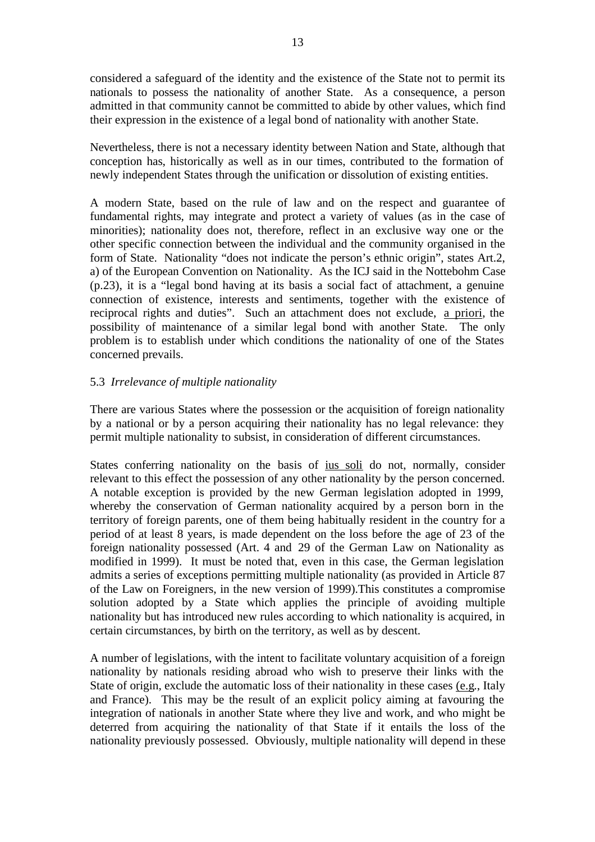considered a safeguard of the identity and the existence of the State not to permit its nationals to possess the nationality of another State. As a consequence, a person admitted in that community cannot be committed to abide by other values, which find their expression in the existence of a legal bond of nationality with another State.

Nevertheless, there is not a necessary identity between Nation and State, although that conception has, historically as well as in our times, contributed to the formation of newly independent States through the unification or dissolution of existing entities.

A modern State, based on the rule of law and on the respect and guarantee of fundamental rights, may integrate and protect a variety of values (as in the case of minorities); nationality does not, therefore, reflect in an exclusive way one or the other specific connection between the individual and the community organised in the form of State. Nationality "does not indicate the person's ethnic origin", states Art.2, a) of the European Convention on Nationality. As the ICJ said in the Nottebohm Case (p.23), it is a "legal bond having at its basis a social fact of attachment, a genuine connection of existence, interests and sentiments, together with the existence of reciprocal rights and duties". Such an attachment does not exclude, a priori, the possibility of maintenance of a similar legal bond with another State. The only problem is to establish under which conditions the nationality of one of the States concerned prevails.

# 5.3 *Irrelevance of multiple nationality*

There are various States where the possession or the acquisition of foreign nationality by a national or by a person acquiring their nationality has no legal relevance: they permit multiple nationality to subsist, in consideration of different circumstances.

States conferring nationality on the basis of ius soli do not, normally, consider relevant to this effect the possession of any other nationality by the person concerned. A notable exception is provided by the new German legislation adopted in 1999, whereby the conservation of German nationality acquired by a person born in the territory of foreign parents, one of them being habitually resident in the country for a period of at least 8 years, is made dependent on the loss before the age of 23 of the foreign nationality possessed (Art. 4 and 29 of the German Law on Nationality as modified in 1999). It must be noted that, even in this case, the German legislation admits a series of exceptions permitting multiple nationality (as provided in Article 87 of the Law on Foreigners, in the new version of 1999).This constitutes a compromise solution adopted by a State which applies the principle of avoiding multiple nationality but has introduced new rules according to which nationality is acquired, in certain circumstances, by birth on the territory, as well as by descent.

A number of legislations, with the intent to facilitate voluntary acquisition of a foreign nationality by nationals residing abroad who wish to preserve their links with the State of origin, exclude the automatic loss of their nationality in these cases (e.g., Italy and France). This may be the result of an explicit policy aiming at favouring the integration of nationals in another State where they live and work, and who might be deterred from acquiring the nationality of that State if it entails the loss of the nationality previously possessed. Obviously, multiple nationality will depend in these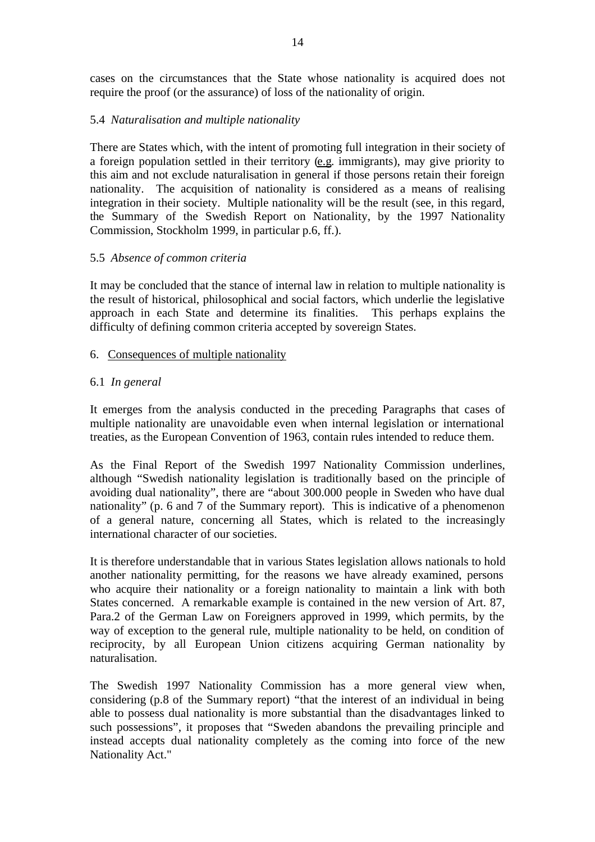cases on the circumstances that the State whose nationality is acquired does not require the proof (or the assurance) of loss of the nationality of origin.

# 5.4 *Naturalisation and multiple nationality*

There are States which, with the intent of promoting full integration in their society of a foreign population settled in their territory (e.g. immigrants), may give priority to this aim and not exclude naturalisation in general if those persons retain their foreign nationality. The acquisition of nationality is considered as a means of realising integration in their society. Multiple nationality will be the result (see, in this regard, the Summary of the Swedish Report on Nationality, by the 1997 Nationality Commission, Stockholm 1999, in particular p.6, ff.).

# 5.5 *Absence of common criteria*

It may be concluded that the stance of internal law in relation to multiple nationality is the result of historical, philosophical and social factors, which underlie the legislative approach in each State and determine its finalities. This perhaps explains the difficulty of defining common criteria accepted by sovereign States.

# 6. Consequences of multiple nationality

# 6.1 *In general*

It emerges from the analysis conducted in the preceding Paragraphs that cases of multiple nationality are unavoidable even when internal legislation or international treaties, as the European Convention of 1963, contain rules intended to reduce them.

As the Final Report of the Swedish 1997 Nationality Commission underlines, although "Swedish nationality legislation is traditionally based on the principle of avoiding dual nationality", there are "about 300.000 people in Sweden who have dual nationality" (p. 6 and 7 of the Summary report). This is indicative of a phenomenon of a general nature, concerning all States, which is related to the increasingly international character of our societies.

It is therefore understandable that in various States legislation allows nationals to hold another nationality permitting, for the reasons we have already examined, persons who acquire their nationality or a foreign nationality to maintain a link with both States concerned. A remarkable example is contained in the new version of Art. 87, Para.2 of the German Law on Foreigners approved in 1999, which permits, by the way of exception to the general rule, multiple nationality to be held, on condition of reciprocity, by all European Union citizens acquiring German nationality by naturalisation.

The Swedish 1997 Nationality Commission has a more general view when, considering (p.8 of the Summary report) "that the interest of an individual in being able to possess dual nationality is more substantial than the disadvantages linked to such possessions", it proposes that "Sweden abandons the prevailing principle and instead accepts dual nationality completely as the coming into force of the new Nationality Act."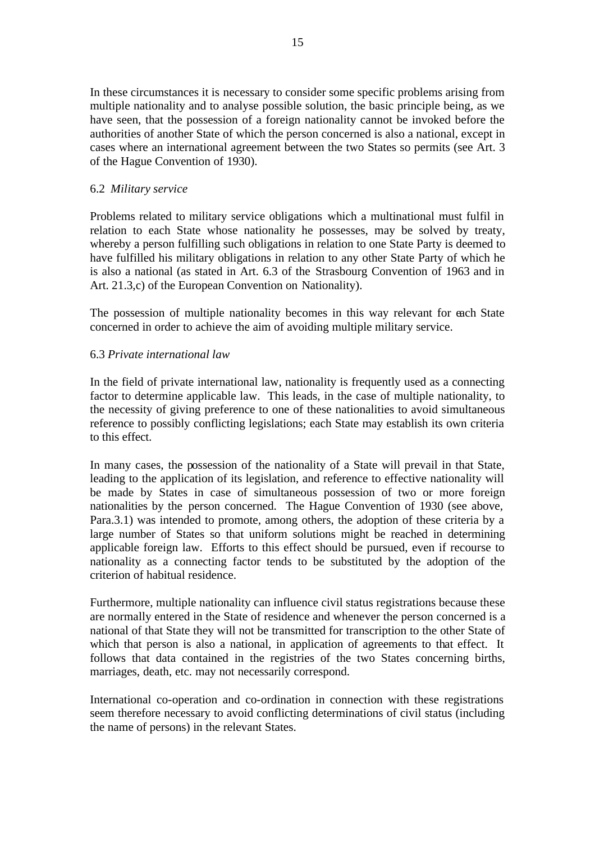In these circumstances it is necessary to consider some specific problems arising from multiple nationality and to analyse possible solution, the basic principle being, as we have seen, that the possession of a foreign nationality cannot be invoked before the authorities of another State of which the person concerned is also a national, except in cases where an international agreement between the two States so permits (see Art. 3 of the Hague Convention of 1930).

# 6.2 *Military service*

Problems related to military service obligations which a multinational must fulfil in relation to each State whose nationality he possesses, may be solved by treaty, whereby a person fulfilling such obligations in relation to one State Party is deemed to have fulfilled his military obligations in relation to any other State Party of which he is also a national (as stated in Art. 6.3 of the Strasbourg Convention of 1963 and in Art. 21.3,c) of the European Convention on Nationality).

The possession of multiple nationality becomes in this way relevant for each State concerned in order to achieve the aim of avoiding multiple military service.

# 6.3 *Private international law*

In the field of private international law, nationality is frequently used as a connecting factor to determine applicable law. This leads, in the case of multiple nationality, to the necessity of giving preference to one of these nationalities to avoid simultaneous reference to possibly conflicting legislations; each State may establish its own criteria to this effect.

In many cases, the possession of the nationality of a State will prevail in that State, leading to the application of its legislation, and reference to effective nationality will be made by States in case of simultaneous possession of two or more foreign nationalities by the person concerned. The Hague Convention of 1930 (see above, Para.3.1) was intended to promote, among others, the adoption of these criteria by a large number of States so that uniform solutions might be reached in determining applicable foreign law. Efforts to this effect should be pursued, even if recourse to nationality as a connecting factor tends to be substituted by the adoption of the criterion of habitual residence.

Furthermore, multiple nationality can influence civil status registrations because these are normally entered in the State of residence and whenever the person concerned is a national of that State they will not be transmitted for transcription to the other State of which that person is also a national, in application of agreements to that effect. It follows that data contained in the registries of the two States concerning births, marriages, death, etc. may not necessarily correspond.

International co-operation and co-ordination in connection with these registrations seem therefore necessary to avoid conflicting determinations of civil status (including the name of persons) in the relevant States.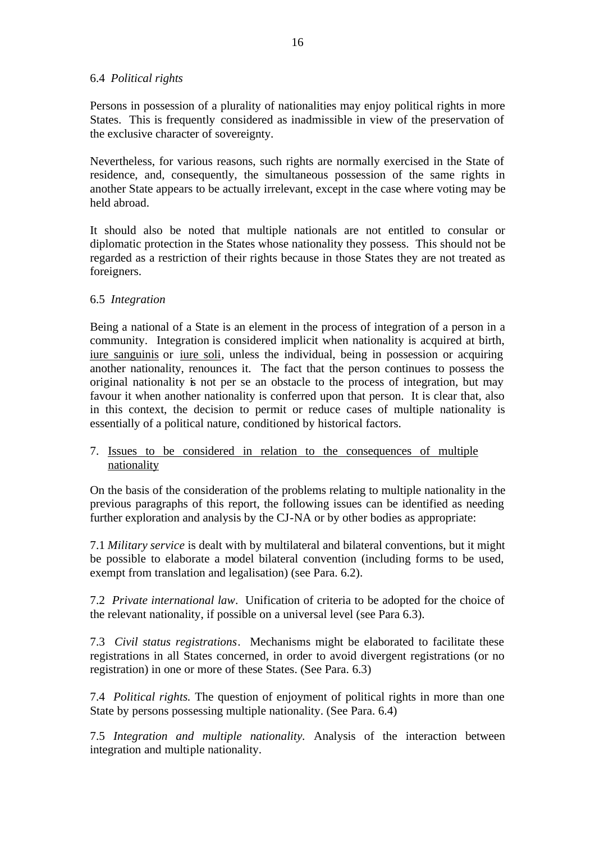### 6.4 *Political rights*

Persons in possession of a plurality of nationalities may enjoy political rights in more States. This is frequently considered as inadmissible in view of the preservation of the exclusive character of sovereignty.

Nevertheless, for various reasons, such rights are normally exercised in the State of residence, and, consequently, the simultaneous possession of the same rights in another State appears to be actually irrelevant, except in the case where voting may be held abroad.

It should also be noted that multiple nationals are not entitled to consular or diplomatic protection in the States whose nationality they possess. This should not be regarded as a restriction of their rights because in those States they are not treated as foreigners.

# 6.5 *Integration*

Being a national of a State is an element in the process of integration of a person in a community. Integration is considered implicit when nationality is acquired at birth, iure sanguinis or iure soli, unless the individual, being in possession or acquiring another nationality, renounces it. The fact that the person continues to possess the original nationality is not per se an obstacle to the process of integration, but may favour it when another nationality is conferred upon that person. It is clear that, also in this context, the decision to permit or reduce cases of multiple nationality is essentially of a political nature, conditioned by historical factors.

# 7. Issues to be considered in relation to the consequences of multiple nationality

On the basis of the consideration of the problems relating to multiple nationality in the previous paragraphs of this report, the following issues can be identified as needing further exploration and analysis by the CJ-NA or by other bodies as appropriate:

7.1 *Military service* is dealt with by multilateral and bilateral conventions, but it might be possible to elaborate a model bilateral convention (including forms to be used, exempt from translation and legalisation) (see Para. 6.2).

7.2 *Private international law*. Unification of criteria to be adopted for the choice of the relevant nationality, if possible on a universal level (see Para 6.3).

7.3 *Civil status registrations*. Mechanisms might be elaborated to facilitate these registrations in all States concerned, in order to avoid divergent registrations (or no registration) in one or more of these States. (See Para. 6.3)

7.4 *Political rights.* The question of enjoyment of political rights in more than one State by persons possessing multiple nationality. (See Para. 6.4)

7.5 *Integration and multiple nationality.* Analysis of the interaction between integration and multiple nationality.